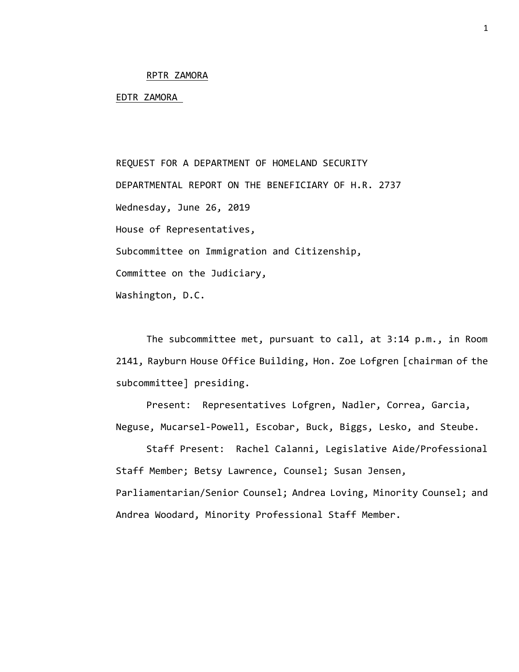## RPTR ZAMORA

## EDTR ZAMORA

REQUEST FOR A DEPARTMENT OF HOMELAND SECURITY DEPARTMENTAL REPORT ON THE BENEFICIARY OF H.R. 2737 Wednesday, June 26, 2019 House of Representatives, Subcommittee on Immigration and Citizenship, Committee on the Judiciary, Washington, D.C.

The subcommittee met, pursuant to call, at 3:14 p.m., in Room 2141, Rayburn House Office Building, Hon. Zoe Lofgren [chairman of the subcommittee] presiding.

Present: Representatives Lofgren, Nadler, Correa, Garcia, Neguse, Mucarsel-Powell, Escobar, Buck, Biggs, Lesko, and Steube.

Staff Present: Rachel Calanni, Legislative Aide/Professional Staff Member; Betsy Lawrence, Counsel; Susan Jensen, Parliamentarian/Senior Counsel; Andrea Loving, Minority Counsel; and Andrea Woodard, Minority Professional Staff Member.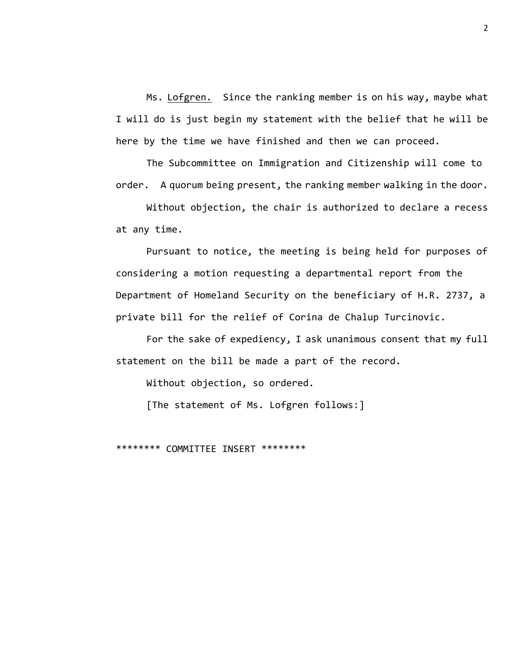Ms. Lofgren. Since the ranking member is on his way, maybe what I will do is just begin my statement with the belief that he will be here by the time we have finished and then we can proceed.

The Subcommittee on Immigration and Citizenship will come to order. A quorum being present, the ranking member walking in the door.

Without objection, the chair is authorized to declare a recess at any time.

Pursuant to notice, the meeting is being held for purposes of considering a motion requesting a departmental report from the Department of Homeland Security on the beneficiary of H.R. 2737, a private bill for the relief of Corina de Chalup Turcinovic.

For the sake of expediency, I ask unanimous consent that my full statement on the bill be made a part of the record.

Without objection, so ordered.

[The statement of Ms. Lofgren follows:]

\*\*\*\*\*\*\*\* COMMITTEE INSERT \*\*\*\*\*\*\*\*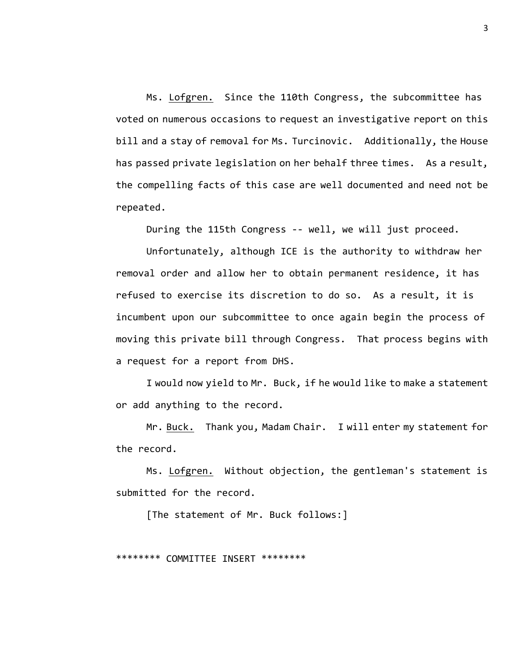Ms. Lofgren. Since the 110th Congress, the subcommittee has voted on numerous occasions to request an investigative report on this bill and a stay of removal for Ms. Turcinovic. Additionally, the House has passed private legislation on her behalf three times. As a result, the compelling facts of this case are well documented and need not be repeated.

During the 115th Congress -- well, we will just proceed.

Unfortunately, although ICE is the authority to withdraw her removal order and allow her to obtain permanent residence, it has refused to exercise its discretion to do so. As a result, it is incumbent upon our subcommittee to once again begin the process of moving this private bill through Congress. That process begins with a request for a report from DHS.

I would now yield to Mr. Buck, if he would like to make a statement or add anything to the record.

Mr. Buck. Thank you, Madam Chair. I will enter my statement for the record.

Ms. Lofgren. Without objection, the gentleman's statement is submitted for the record.

[The statement of Mr. Buck follows:]

\*\*\*\*\*\*\*\* COMMITTEE INSERT \*\*\*\*\*\*\*\*